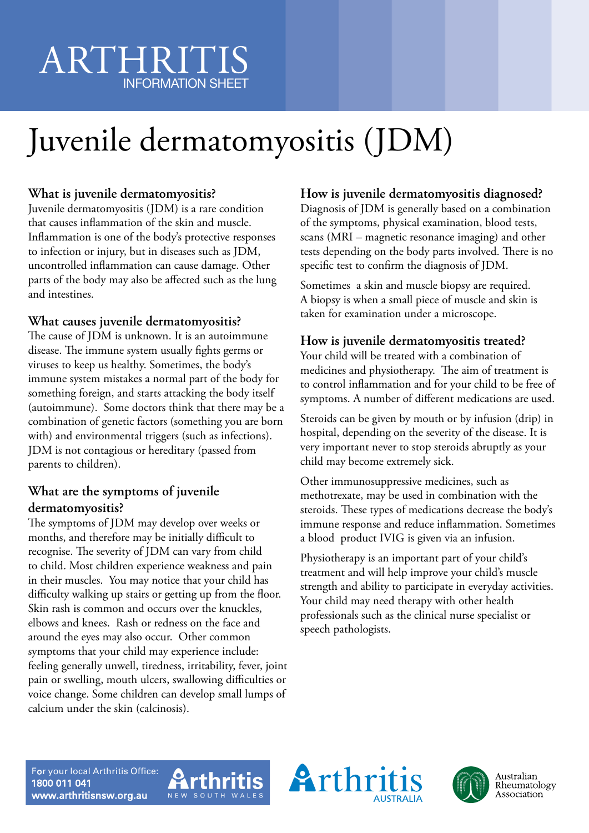# ARTHRITIS INFORMATION SHEET

# Juvenile dermatomyositis (JDM)

### **What is juvenile dermatomyositis?**

Juvenile dermatomyositis (JDM) is a rare condition that causes inflammation of the skin and muscle. Inflammation is one of the body's protective responses to infection or injury, but in diseases such as JDM, uncontrolled inflammation can cause damage. Other parts of the body may also be affected such as the lung and intestines.

### **What causes juvenile dermatomyositis?**

The cause of JDM is unknown. It is an autoimmune disease. The immune system usually fights germs or viruses to keep us healthy. Sometimes, the body's immune system mistakes a normal part of the body for something foreign, and starts attacking the body itself (autoimmune). Some doctors think that there may be a combination of genetic factors (something you are born with) and environmental triggers (such as infections). JDM is not contagious or hereditary (passed from parents to children).

### **What are the symptoms of juvenile dermatomyositis?**

The symptoms of JDM may develop over weeks or months, and therefore may be initially difficult to recognise. The severity of JDM can vary from child to child. Most children experience weakness and pain in their muscles. You may notice that your child has difficulty walking up stairs or getting up from the floor. Skin rash is common and occurs over the knuckles, elbows and knees. Rash or redness on the face and around the eyes may also occur. Other common symptoms that your child may experience include: feeling generally unwell, tiredness, irritability, fever, joint pain or swelling, mouth ulcers, swallowing difficulties or voice change. Some children can develop small lumps of calcium under the skin (calcinosis).

### **How is juvenile dermatomyositis diagnosed?**

Diagnosis of JDM is generally based on a combination of the symptoms, physical examination, blood tests, scans (MRI – magnetic resonance imaging) and other tests depending on the body parts involved. There is no specific test to confirm the diagnosis of JDM.

Sometimes a skin and muscle biopsy are required. A biopsy is when a small piece of muscle and skin is taken for examination under a microscope.

### **How is juvenile dermatomyositis treated?**

Your child will be treated with a combination of medicines and physiotherapy. The aim of treatment is to control inflammation and for your child to be free of symptoms. A number of different medications are used.

Steroids can be given by mouth or by infusion (drip) in hospital, depending on the severity of the disease. It is very important never to stop steroids abruptly as your child may become extremely sick.

Other immunosuppressive medicines, such as methotrexate, may be used in combination with the steroids. These types of medications decrease the body's immune response and reduce inflammation. Sometimes a blood product IVIG is given via an infusion.

Physiotherapy is an important part of your child's treatment and will help improve your child's muscle strength and ability to participate in everyday activities. Your child may need therapy with other health professionals such as the clinical nurse specialist or speech pathologists.